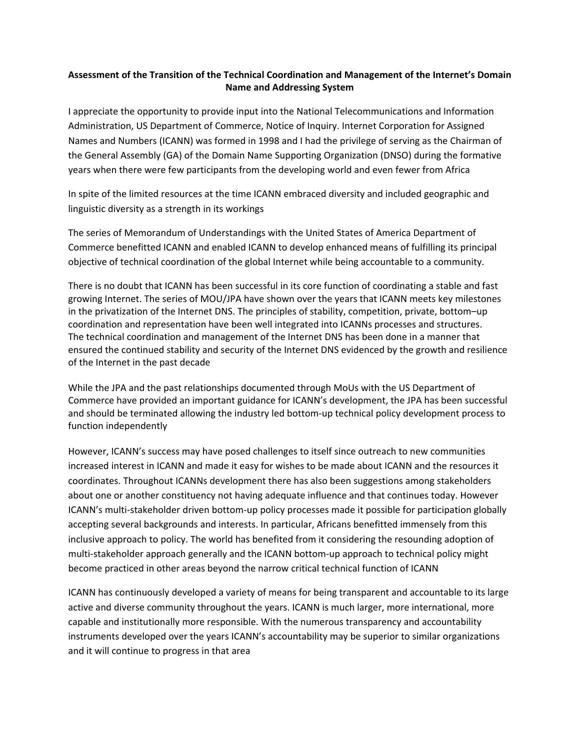## **Assessment of the Transition of the Technical Coordination and Management of the Internet's Domain Name and Addressing System**

I appreciate the opportunity to provide input into the National Telecommunications and Information Administration, US Department of Commerce, Notice of Inquiry. Internet Corporation for Assigned Names and Numbers (ICANN) was formed in 1998 and I had the privilege of serving as the Chairman of the General Assembly (GA) of the Domain Name Supporting Organization (DNSO) during the formative years when there were few participants from the developing world and even fewer from Africa

In spite of the limited resources at the time ICANN embraced diversity and included geographic and linguistic diversity as a strength in its workings

The series of Memorandum of Understandings with the United States of America Department of Commerce benefitted ICANN and enabled ICANN to develop enhanced means of fulfilling its principal objective of technical coordination of the global Internet while being accountable to a community.

There is no doubt that ICANN has been successful in its core function of coordinating a stable and fast growing Internet. The series of MOU/JPA have shown over the years that ICANN meets key milestones in the privatization of the Internet DNS. The principles of stability, competition, private, bottom–up coordination and representation have been well integrated into ICANNs processes and structures. The technical coordination and management of the Internet DNS has been done in a manner that ensured the continued stability and security of the Internet DNS evidenced by the growth and resilience of the Internet in the past decade

While the JPA and the past relationships documented through MoUs with the US Department of Commerce have provided an important guidance for ICANN's development, the JPA has been successful and should be terminated allowing the industry led bottom‐up technical policy development process to function independently

However, ICANN's success may have posed challenges to itself since outreach to new communities increased interest in ICANN and made it easy for wishes to be made about ICANN and the resources it coordinates. Throughout ICANNs development there has also been suggestions among stakeholders about one or another constituency not having adequate influence and that continues today. However ICANN's multi‐stakeholder driven bottom‐up policy processes made it possible for participation globally accepting several backgrounds and interests. In particular, Africans benefitted immensely from this inclusive approach to policy. The world has benefited from it considering the resounding adoption of multi‐stakeholder approach generally and the ICANN bottom‐up approach to technical policy might become practiced in other areas beyond the narrow critical technical function of ICANN

ICANN has continuously developed a variety of means for being transparent and accountable to its large active and diverse community throughout the years. ICANN is much larger, more international, more capable and institutionally more responsible. With the numerous transparency and accountability instruments developed over the years ICANN's accountability may be superior to similar organizations and it will continue to progress in that area